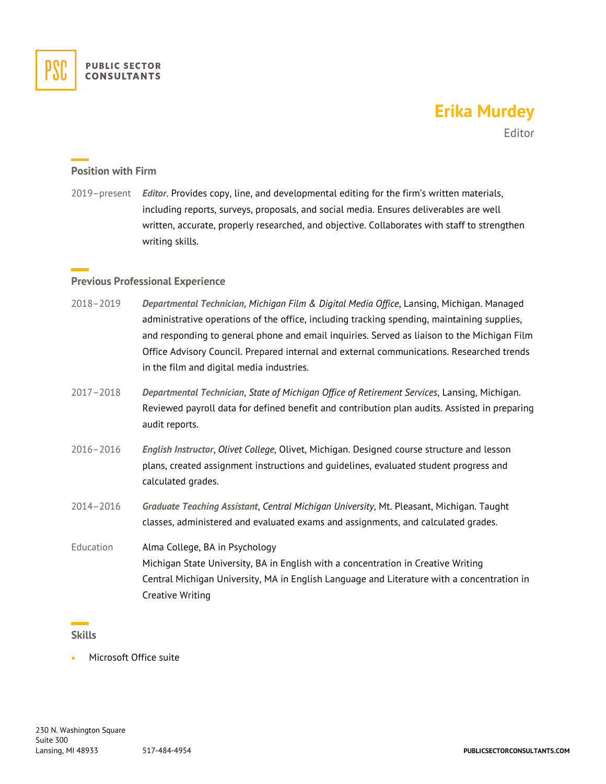

# **Erika Murdey**

Editor

# **Position with Firm**

2019–present *Editor*. Provides copy, line, and developmental editing for the firm's written materials, including reports, surveys, proposals, and social media. Ensures deliverables are well written, accurate, properly researched, and objective. Collaborates with staff to strengthen writing skills.

## **Previous Professional Experience**

- 2018–2019 *Departmental Technician, Michigan Film & Digital Media Office*, Lansing, Michigan. Managed administrative operations of the office, including tracking spending, maintaining supplies, and responding to general phone and email inquiries. Served as liaison to the Michigan Film Office Advisory Council. Prepared internal and external communications. Researched trends in the film and digital media industries.
- 2017–2018 *Departmental Technician*, *State of Michigan Office of Retirement Services*, Lansing, Michigan. Reviewed payroll data for defined benefit and contribution plan audits. Assisted in preparing audit reports.
- 2016–2016 *English Instructor*, *Olivet College*, Olivet, Michigan. Designed course structure and lesson plans, created assignment instructions and guidelines, evaluated student progress and calculated grades.
- 2014–2016 *Graduate Teaching Assistant*, *Central Michigan University*, Mt. Pleasant, Michigan. Taught classes, administered and evaluated exams and assignments, and calculated grades.
- Education Alma College, BA in Psychology Michigan State University, BA in English with a concentration in Creative Writing Central Michigan University, MA in English Language and Literature with a concentration in Creative Writing

#### **Skills**

• Microsoft Office suite